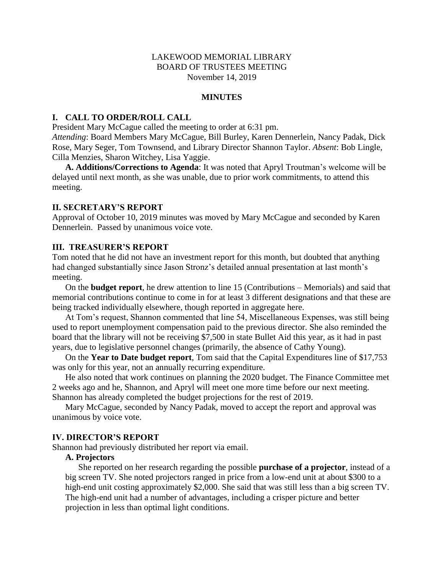## LAKEWOOD MEMORIAL LIBRARY BOARD OF TRUSTEES MEETING November 14, 2019

#### **MINUTES**

### **I. CALL TO ORDER/ROLL CALL**

President Mary McCague called the meeting to order at 6:31 pm.

*Attending*: Board Members Mary McCague, Bill Burley, Karen Dennerlein, Nancy Padak, Dick Rose, Mary Seger, Tom Townsend, and Library Director Shannon Taylor. *Absent*: Bob Lingle, Cilla Menzies, Sharon Witchey, Lisa Yaggie.

**A. Additions/Corrections to Agenda**: It was noted that Apryl Troutman's welcome will be delayed until next month, as she was unable, due to prior work commitments, to attend this meeting.

#### **II. SECRETARY'S REPORT**

Approval of October 10, 2019 minutes was moved by Mary McCague and seconded by Karen Dennerlein. Passed by unanimous voice vote.

## **III. TREASURER'S REPORT**

Tom noted that he did not have an investment report for this month, but doubted that anything had changed substantially since Jason Stronz's detailed annual presentation at last month's meeting.

On the **budget report**, he drew attention to line 15 (Contributions – Memorials) and said that memorial contributions continue to come in for at least 3 different designations and that these are being tracked individually elsewhere, though reported in aggregate here.

At Tom's request, Shannon commented that line 54, Miscellaneous Expenses, was still being used to report unemployment compensation paid to the previous director. She also reminded the board that the library will not be receiving \$7,500 in state Bullet Aid this year, as it had in past years, due to legislative personnel changes (primarily, the absence of Cathy Young).

On the **Year to Date budget report**, Tom said that the Capital Expenditures line of \$17,753 was only for this year, not an annually recurring expenditure.

He also noted that work continues on planning the 2020 budget. The Finance Committee met 2 weeks ago and he, Shannon, and Apryl will meet one more time before our next meeting. Shannon has already completed the budget projections for the rest of 2019.

Mary McCague, seconded by Nancy Padak, moved to accept the report and approval was unanimous by voice vote.

#### **IV. DIRECTOR'S REPORT**

Shannon had previously distributed her report via email.

### **A. Projectors**

She reported on her research regarding the possible **purchase of a projector**, instead of a big screen TV. She noted projectors ranged in price from a low-end unit at about \$300 to a high-end unit costing approximately \$2,000. She said that was still less than a big screen TV. The high-end unit had a number of advantages, including a crisper picture and better projection in less than optimal light conditions.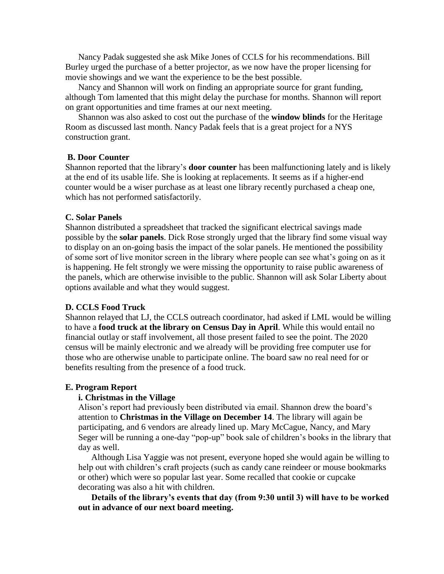Nancy Padak suggested she ask Mike Jones of CCLS for his recommendations. Bill Burley urged the purchase of a better projector, as we now have the proper licensing for movie showings and we want the experience to be the best possible.

Nancy and Shannon will work on finding an appropriate source for grant funding, although Tom lamented that this might delay the purchase for months. Shannon will report on grant opportunities and time frames at our next meeting.

Shannon was also asked to cost out the purchase of the **window blinds** for the Heritage Room as discussed last month. Nancy Padak feels that is a great project for a NYS construction grant.

#### **B. Door Counter**

Shannon reported that the library's **door counter** has been malfunctioning lately and is likely at the end of its usable life. She is looking at replacements. It seems as if a higher-end counter would be a wiser purchase as at least one library recently purchased a cheap one, which has not performed satisfactorily.

#### **C. Solar Panels**

Shannon distributed a spreadsheet that tracked the significant electrical savings made possible by the **solar panels**. Dick Rose strongly urged that the library find some visual way to display on an on-going basis the impact of the solar panels. He mentioned the possibility of some sort of live monitor screen in the library where people can see what's going on as it is happening. He felt strongly we were missing the opportunity to raise public awareness of the panels, which are otherwise invisible to the public. Shannon will ask Solar Liberty about options available and what they would suggest.

### **D. CCLS Food Truck**

Shannon relayed that LJ, the CCLS outreach coordinator, had asked if LML would be willing to have a **food truck at the library on Census Day in April**. While this would entail no financial outlay or staff involvement, all those present failed to see the point. The 2020 census will be mainly electronic and we already will be providing free computer use for those who are otherwise unable to participate online. The board saw no real need for or benefits resulting from the presence of a food truck.

#### **E. Program Report**

#### **i. Christmas in the Village**

Alison's report had previously been distributed via email. Shannon drew the board's attention to **Christmas in the Village on December 14**. The library will again be participating, and 6 vendors are already lined up. Mary McCague, Nancy, and Mary Seger will be running a one-day "pop-up" book sale of children's books in the library that day as well.

 Although Lisa Yaggie was not present, everyone hoped she would again be willing to help out with children's craft projects (such as candy cane reindeer or mouse bookmarks or other) which were so popular last year. Some recalled that cookie or cupcake decorating was also a hit with children.

 **Details of the library's events that day (from 9:30 until 3) will have to be worked out in advance of our next board meeting.**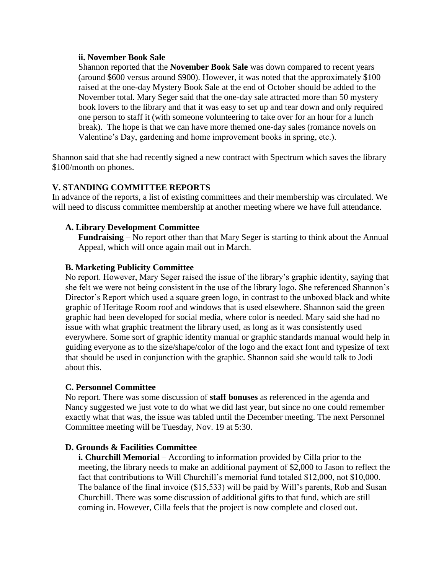### **ii. November Book Sale**

Shannon reported that the **November Book Sale** was down compared to recent years (around \$600 versus around \$900). However, it was noted that the approximately \$100 raised at the one-day Mystery Book Sale at the end of October should be added to the November total. Mary Seger said that the one-day sale attracted more than 50 mystery book lovers to the library and that it was easy to set up and tear down and only required one person to staff it (with someone volunteering to take over for an hour for a lunch break). The hope is that we can have more themed one-day sales (romance novels on Valentine's Day, gardening and home improvement books in spring, etc.).

Shannon said that she had recently signed a new contract with Spectrum which saves the library \$100/month on phones.

# **V. STANDING COMMITTEE REPORTS**

In advance of the reports, a list of existing committees and their membership was circulated. We will need to discuss committee membership at another meeting where we have full attendance.

## **A. Library Development Committee**

**Fundraising** – No report other than that Mary Seger is starting to think about the Annual Appeal, which will once again mail out in March.

## **B. Marketing Publicity Committee**

No report. However, Mary Seger raised the issue of the library's graphic identity, saying that she felt we were not being consistent in the use of the library logo. She referenced Shannon's Director's Report which used a square green logo, in contrast to the unboxed black and white graphic of Heritage Room roof and windows that is used elsewhere. Shannon said the green graphic had been developed for social media, where color is needed. Mary said she had no issue with what graphic treatment the library used, as long as it was consistently used everywhere. Some sort of graphic identity manual or graphic standards manual would help in guiding everyone as to the size/shape/color of the logo and the exact font and typesize of text that should be used in conjunction with the graphic. Shannon said she would talk to Jodi about this.

## **C. Personnel Committee**

No report. There was some discussion of **staff bonuses** as referenced in the agenda and Nancy suggested we just vote to do what we did last year, but since no one could remember exactly what that was, the issue was tabled until the December meeting. The next Personnel Committee meeting will be Tuesday, Nov. 19 at 5:30.

## **D. Grounds & Facilities Committee**

**i. Churchill Memorial** – According to information provided by Cilla prior to the meeting, the library needs to make an additional payment of \$2,000 to Jason to reflect the fact that contributions to Will Churchill's memorial fund totaled \$12,000, not \$10,000. The balance of the final invoice (\$15,533) will be paid by Will's parents, Rob and Susan Churchill. There was some discussion of additional gifts to that fund, which are still coming in. However, Cilla feels that the project is now complete and closed out.